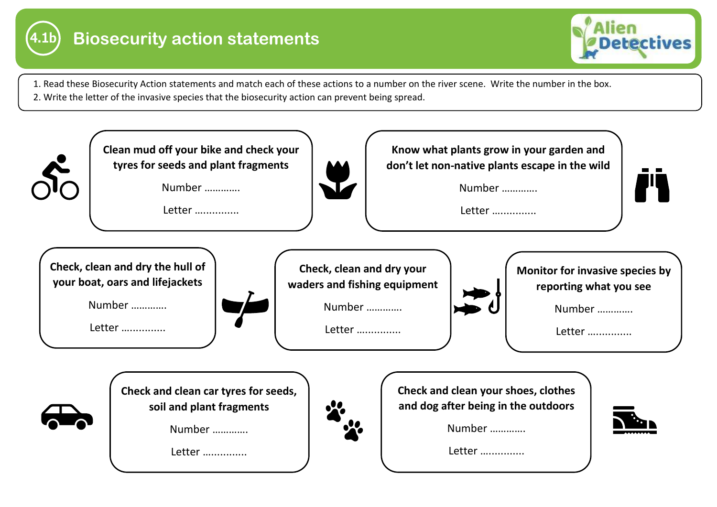



- 1. Read these Biosecurity Action statements and match each of these actions to a number on the river scene. Write the number in the box.
- 2. Write the letter of the invasive species that the biosecurity action can prevent being spread.